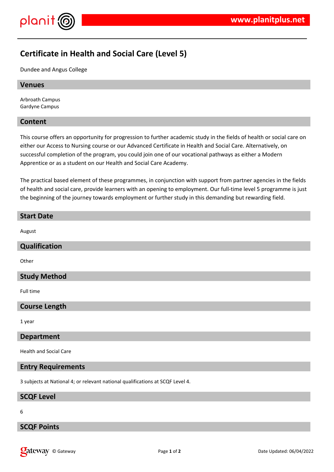

# **Certificate in Health and Social Care (Level 5)**

Dundee and Angus College

#### **Venues**

Arbroath Campus Gardyne Campus

#### **Content**

This course offers an opportunity for progression to further academic study in the fields of health or social care on either our Access to Nursing course or our Advanced Certificate in Health and Social Care. Alternatively, on successful completion of the program, you could join one of our vocational pathways as either a Modern Apprentice or as a student on our Health and Social Care Academy.

The practical based element of these programmes, in conjunction with support from partner agencies in the fields of health and social care, provide learners with an opening to employment. Our full-time level 5 programme is just the beginning of the journey towards employment or further study in this demanding but rewarding field.

# **Start Date** August **Qualification Other Study Method** Full time **Course Length** 1 year **Department** Health and Social Care **Entry Requirements**

3 subjects at National 4; or relevant national qualifications at SCQF Level 4.

#### **SCQF Level**

6

#### **SCQF Points**